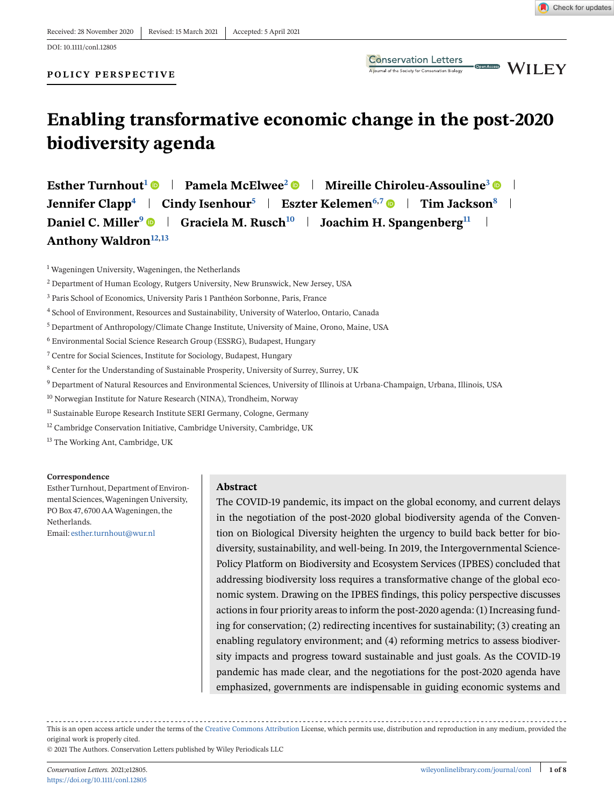#### **POLICY PERSPECTIVE**



# **Enabling transformative economic change in the post-2020 biodiversity agenda**

**Esther Turnhout<sup>1</sup> © | Pamela McElwee<sup>2</sup> © | Mireille Chiroleu-Assouline<sup>3</sup> © | Jennifer Clapp**<sup>4</sup> **Cindy Isenhour**<sup>5</sup> **Eszter Kelemen**<sup>6,7</sup> **e** Tim Jackson<sup>8</sup> **External Daniel C. Miller<sup>9</sup>**  $\bullet$  **| Graciela M. Rusch<sup>10</sup> | Joachim H. Spangenberg<sup>11</sup> |** Anthony Waldron<sup>12,13</sup>

<sup>1</sup> Wageningen University, Wageningen, the Netherlands

- <sup>3</sup> Paris School of Economics, University Paris 1 Panthéon Sorbonne, Paris, France
- <sup>4</sup> School of Environment, Resources and Sustainability, University of Waterloo, Ontario, Canada
- <sup>5</sup> Department of Anthropology/Climate Change Institute, University of Maine, Orono, Maine, USA
- <sup>6</sup> Environmental Social Science Research Group (ESSRG), Budapest, Hungary
- <sup>7</sup> Centre for Social Sciences, Institute for Sociology, Budapest, Hungary
- <sup>8</sup> Center for the Understanding of Sustainable Prosperity, University of Surrey, Surrey, UK
- <sup>9</sup> Department of Natural Resources and Environmental Sciences, University of Illinois at Urbana-Champaign, Urbana, Illinois, USA
- <sup>10</sup> Norwegian Institute for Nature Research (NINA), Trondheim, Norway
- <sup>11</sup> Sustainable Europe Research Institute SERI Germany, Cologne, Germany
- <sup>12</sup> Cambridge Conservation Initiative, Cambridge University, Cambridge, UK

<sup>13</sup> The Working Ant, Cambridge, UK

#### **Correspondence**

Esther Turnhout, Department of Environmental Sciences,Wageningen University, PO Box 47, 6700 AAWageningen, the Netherlands. Email: [esther.turnhout@wur.nl](mailto:esther.turnhout@wur.nl)

#### **Abstract**

The COVID-19 pandemic, its impact on the global economy, and current delays in the negotiation of the post-2020 global biodiversity agenda of the Convention on Biological Diversity heighten the urgency to build back better for biodiversity, sustainability, and well-being. In 2019, the Intergovernmental Science-Policy Platform on Biodiversity and Ecosystem Services (IPBES) concluded that addressing biodiversity loss requires a transformative change of the global economic system. Drawing on the IPBES findings, this policy perspective discusses actions in four priority areas to inform the post-2020 agenda: (1) Increasing funding for conservation; (2) redirecting incentives for sustainability; (3) creating an enabling regulatory environment; and (4) reforming metrics to assess biodiversity impacts and progress toward sustainable and just goals. As the COVID-19 pandemic has made clear, and the negotiations for the post-2020 agenda have emphasized, governments are indispensable in guiding economic systems and

This is an open access article under the terms of the [Creative Commons Attribution](http://creativecommons.org/licenses/by/4.0/) License, which permits use, distribution and reproduction in any medium, provided the original work is properly cited.

© 2021 The Authors. Conservation Letters published by Wiley Periodicals LLC

<sup>2</sup> Department of Human Ecology, Rutgers University, New Brunswick, New Jersey, USA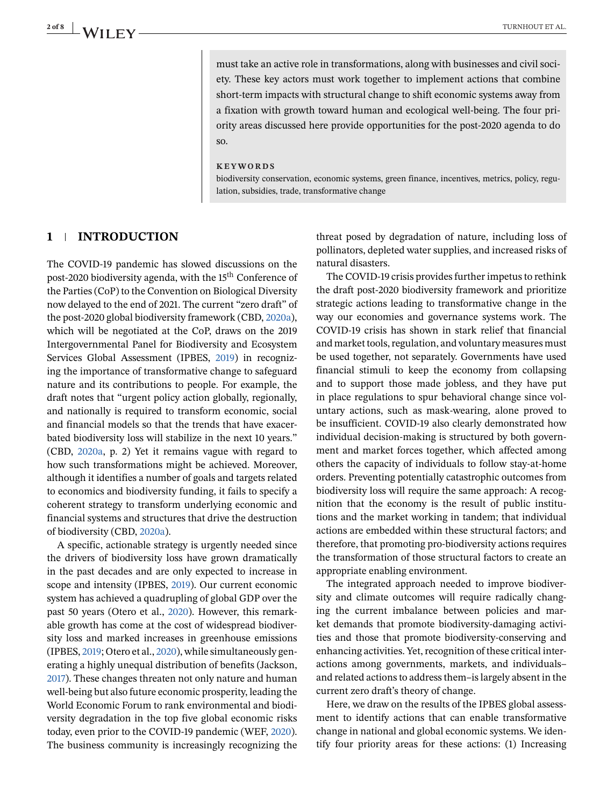**2 of 8 I A/II EV** 

must take an active role in transformations, along with businesses and civil society. These key actors must work together to implement actions that combine short-term impacts with structural change to shift economic systems away from a fixation with growth toward human and ecological well-being. The four priority areas discussed here provide opportunities for the post-2020 agenda to do so.

#### **KEYWORDS**

biodiversity conservation, economic systems, green finance, incentives, metrics, policy, regulation, subsidies, trade, transformative change

#### **1 INTRODUCTION**

The COVID-19 pandemic has slowed discussions on the post-2020 biodiversity agenda, with the 15<sup>th</sup> Conference of the Parties (CoP) to the Convention on Biological Diversity now delayed to the end of 2021. The current "zero draft" of the post-2020 global biodiversity framework (CBD, [2020a\)](#page-6-0), which will be negotiated at the CoP, draws on the 2019 Intergovernmental Panel for Biodiversity and Ecosystem Services Global Assessment (IPBES, [2019\)](#page-6-0) in recognizing the importance of transformative change to safeguard nature and its contributions to people. For example, the draft notes that "urgent policy action globally, regionally, and nationally is required to transform economic, social and financial models so that the trends that have exacerbated biodiversity loss will stabilize in the next 10 years." (CBD, [2020a,](#page-6-0) p. 2) Yet it remains vague with regard to how such transformations might be achieved. Moreover, although it identifies a number of goals and targets related to economics and biodiversity funding, it fails to specify a coherent strategy to transform underlying economic and financial systems and structures that drive the destruction of biodiversity (CBD, [2020a\)](#page-6-0).

A specific, actionable strategy is urgently needed since the drivers of biodiversity loss have grown dramatically in the past decades and are only expected to increase in scope and intensity (IPBES, [2019\)](#page-6-0). Our current economic system has achieved a quadrupling of global GDP over the past 50 years (Otero et al., [2020\)](#page-7-0). However, this remarkable growth has come at the cost of widespread biodiversity loss and marked increases in greenhouse emissions (IPBES, [2019;](#page-6-0) Otero et al., [2020\)](#page-7-0), while simultaneously generating a highly unequal distribution of benefits (Jackson, [2017\)](#page-6-0). These changes threaten not only nature and human well-being but also future economic prosperity, leading the World Economic Forum to rank environmental and biodiversity degradation in the top five global economic risks today, even prior to the COVID-19 pandemic (WEF, [2020\)](#page-7-0). The business community is increasingly recognizing the

threat posed by degradation of nature, including loss of pollinators, depleted water supplies, and increased risks of natural disasters.

The COVID-19 crisis provides further impetus to rethink the draft post-2020 biodiversity framework and prioritize strategic actions leading to transformative change in the way our economies and governance systems work. The COVID-19 crisis has shown in stark relief that financial and market tools, regulation, and voluntary measures must be used together, not separately. Governments have used financial stimuli to keep the economy from collapsing and to support those made jobless, and they have put in place regulations to spur behavioral change since voluntary actions, such as mask-wearing, alone proved to be insufficient. COVID-19 also clearly demonstrated how individual decision-making is structured by both government and market forces together, which affected among others the capacity of individuals to follow stay-at-home orders. Preventing potentially catastrophic outcomes from biodiversity loss will require the same approach: A recognition that the economy is the result of public institutions and the market working in tandem; that individual actions are embedded within these structural factors; and therefore, that promoting pro-biodiversity actions requires the transformation of those structural factors to create an appropriate enabling environment.

The integrated approach needed to improve biodiversity and climate outcomes will require radically changing the current imbalance between policies and market demands that promote biodiversity-damaging activities and those that promote biodiversity-conserving and enhancing activities. Yet, recognition of these critical interactions among governments, markets, and individuals– and related actions to address them–is largely absent in the current zero draft's theory of change.

Here, we draw on the results of the IPBES global assessment to identify actions that can enable transformative change in national and global economic systems. We identify four priority areas for these actions: (1) Increasing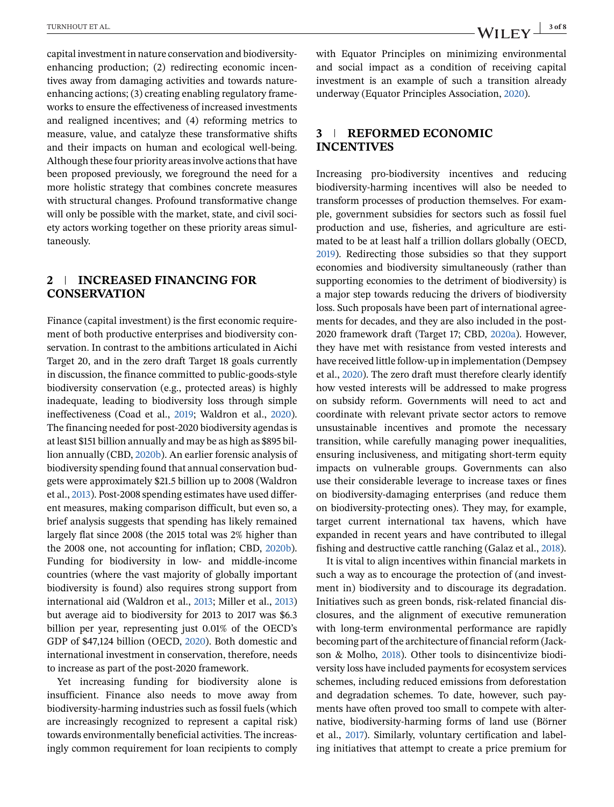capital investment in nature conservation and biodiversityenhancing production; (2) redirecting economic incentives away from damaging activities and towards natureenhancing actions; (3) creating enabling regulatory frameworks to ensure the effectiveness of increased investments and realigned incentives; and (4) reforming metrics to measure, value, and catalyze these transformative shifts and their impacts on human and ecological well-being. Although these four priority areas involve actions that have been proposed previously, we foreground the need for a more holistic strategy that combines concrete measures with structural changes. Profound transformative change will only be possible with the market, state, and civil society actors working together on these priority areas simultaneously.

## **2 INCREASED FINANCING FOR CONSERVATION**

Finance (capital investment) is the first economic requirement of both productive enterprises and biodiversity conservation. In contrast to the ambitions articulated in Aichi Target 20, and in the zero draft Target 18 goals currently in discussion, the finance committed to public-goods-style biodiversity conservation (e.g., protected areas) is highly inadequate, leading to biodiversity loss through simple ineffectiveness (Coad et al., [2019;](#page-6-0) Waldron et al., [2020\)](#page-7-0). The financing needed for post-2020 biodiversity agendas is at least \$151 billion annually and may be as high as \$895 billion annually (CBD, [2020b\)](#page-6-0). An earlier forensic analysis of biodiversity spending found that annual conservation budgets were approximately \$21.5 billion up to 2008 (Waldron et al., [2013\)](#page-7-0). Post-2008 spending estimates have used different measures, making comparison difficult, but even so, a brief analysis suggests that spending has likely remained largely flat since 2008 (the 2015 total was 2% higher than the 2008 one, not accounting for inflation; CBD, [2020b\)](#page-6-0). Funding for biodiversity in low- and middle-income countries (where the vast majority of globally important biodiversity is found) also requires strong support from international aid (Waldron et al., [2013;](#page-7-0) Miller et al., [2013\)](#page-6-0) but average aid to biodiversity for 2013 to 2017 was \$6.3 billion per year, representing just 0.01% of the OECD's GDP of \$47,124 billion (OECD, [2020\)](#page-7-0). Both domestic and international investment in conservation, therefore, needs to increase as part of the post-2020 framework.

Yet increasing funding for biodiversity alone is insufficient. Finance also needs to move away from biodiversity-harming industries such as fossil fuels (which are increasingly recognized to represent a capital risk) towards environmentally beneficial activities. The increasingly common requirement for loan recipients to comply with Equator Principles on minimizing environmental and social impact as a condition of receiving capital investment is an example of such a transition already underway (Equator Principles Association, [2020\)](#page-6-0).

#### **3 REFORMED ECONOMIC INCENTIVES**

Increasing pro-biodiversity incentives and reducing biodiversity-harming incentives will also be needed to transform processes of production themselves. For example, government subsidies for sectors such as fossil fuel production and use, fisheries, and agriculture are estimated to be at least half a trillion dollars globally (OECD, [2019\)](#page-7-0). Redirecting those subsidies so that they support economies and biodiversity simultaneously (rather than supporting economies to the detriment of biodiversity) is a major step towards reducing the drivers of biodiversity loss. Such proposals have been part of international agreements for decades, and they are also included in the post-2020 framework draft (Target 17; CBD, [2020a\)](#page-6-0). However, they have met with resistance from vested interests and have received little follow-up in implementation (Dempsey et al., [2020\)](#page-6-0). The zero draft must therefore clearly identify how vested interests will be addressed to make progress on subsidy reform. Governments will need to act and coordinate with relevant private sector actors to remove unsustainable incentives and promote the necessary transition, while carefully managing power inequalities, ensuring inclusiveness, and mitigating short-term equity impacts on vulnerable groups. Governments can also use their considerable leverage to increase taxes or fines on biodiversity-damaging enterprises (and reduce them on biodiversity-protecting ones). They may, for example, target current international tax havens, which have expanded in recent years and have contributed to illegal fishing and destructive cattle ranching (Galaz et al., [2018\)](#page-6-0).

It is vital to align incentives within financial markets in such a way as to encourage the protection of (and investment in) biodiversity and to discourage its degradation. Initiatives such as green bonds, risk-related financial disclosures, and the alignment of executive remuneration with long-term environmental performance are rapidly becoming part of the architecture of financial reform (Jackson & Molho, [2018\)](#page-6-0). Other tools to disincentivize biodiversity loss have included payments for ecosystem services schemes, including reduced emissions from deforestation and degradation schemes. To date, however, such payments have often proved too small to compete with alternative, biodiversity-harming forms of land use (Börner et al., [2017\)](#page-6-0). Similarly, voluntary certification and labeling initiatives that attempt to create a price premium for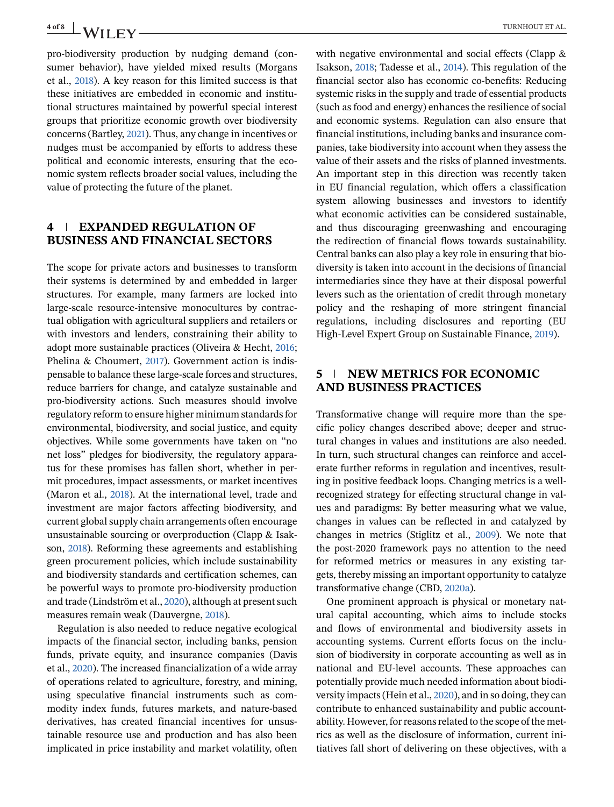<span id="page-3-0"></span>pro-biodiversity production by nudging demand (consumer behavior), have yielded mixed results (Morgans et al., [2018\)](#page-7-0). A key reason for this limited success is that these initiatives are embedded in economic and institutional structures maintained by powerful special interest groups that prioritize economic growth over biodiversity concerns (Bartley, [2021\)](#page-6-0). Thus, any change in incentives or nudges must be accompanied by efforts to address these political and economic interests, ensuring that the economic system reflects broader social values, including the value of protecting the future of the planet.

#### **4 EXPANDED REGULATION OF BUSINESS AND FINANCIAL SECTORS**

The scope for private actors and businesses to transform their systems is determined by and embedded in larger structures. For example, many farmers are locked into large-scale resource-intensive monocultures by contractual obligation with agricultural suppliers and retailers or with investors and lenders, constraining their ability to adopt more sustainable practices (Oliveira & Hecht, [2016;](#page-7-0) Phelina & Choumert, [2017\)](#page-7-0). Government action is indispensable to balance these large-scale forces and structures, reduce barriers for change, and catalyze sustainable and pro-biodiversity actions. Such measures should involve regulatory reform to ensure higher minimum standards for environmental, biodiversity, and social justice, and equity objectives. While some governments have taken on "no net loss" pledges for biodiversity, the regulatory apparatus for these promises has fallen short, whether in permit procedures, impact assessments, or market incentives (Maron et al., [2018\)](#page-6-0). At the international level, trade and investment are major factors affecting biodiversity, and current global supply chain arrangements often encourage unsustainable sourcing or overproduction (Clapp & Isakson, [2018\)](#page-6-0). Reforming these agreements and establishing green procurement policies, which include sustainability and biodiversity standards and certification schemes, can be powerful ways to promote pro-biodiversity production and trade (Lindström et al., [2020\)](#page-6-0), although at present such measures remain weak (Dauvergne, [2018\)](#page-6-0).

Regulation is also needed to reduce negative ecological impacts of the financial sector, including banks, pension funds, private equity, and insurance companies (Davis et al., [2020\)](#page-6-0). The increased financialization of a wide array of operations related to agriculture, forestry, and mining, using speculative financial instruments such as commodity index funds, futures markets, and nature-based derivatives, has created financial incentives for unsustainable resource use and production and has also been implicated in price instability and market volatility, often

with negative environmental and social effects (Clapp & Isakson, [2018;](#page-6-0) Tadesse et al., [2014\)](#page-7-0). This regulation of the financial sector also has economic co-benefits: Reducing systemic risks in the supply and trade of essential products (such as food and energy) enhances the resilience of social and economic systems. Regulation can also ensure that financial institutions, including banks and insurance companies, take biodiversity into account when they assess the value of their assets and the risks of planned investments. An important step in this direction was recently taken in EU financial regulation, which offers a classification system allowing businesses and investors to identify what economic activities can be considered sustainable, and thus discouraging greenwashing and encouraging the redirection of financial flows towards sustainability. Central banks can also play a key role in ensuring that biodiversity is taken into account in the decisions of financial intermediaries since they have at their disposal powerful levers such as the orientation of credit through monetary policy and the reshaping of more stringent financial regulations, including disclosures and reporting (EU High-Level Expert Group on Sustainable Finance, [2019\)](#page-6-0).

### **5 NEW METRICS FOR ECONOMIC AND BUSINESS PRACTICES**

Transformative change will require more than the specific policy changes described above; deeper and structural changes in values and institutions are also needed. In turn, such structural changes can reinforce and accelerate further reforms in regulation and incentives, resulting in positive feedback loops. Changing metrics is a wellrecognized strategy for effecting structural change in values and paradigms: By better measuring what we value, changes in values can be reflected in and catalyzed by changes in metrics (Stiglitz et al., [2009\)](#page-7-0). We note that the post-2020 framework pays no attention to the need for reformed metrics or measures in any existing targets, thereby missing an important opportunity to catalyze transformative change (CBD, [2020a\)](#page-6-0).

One prominent approach is physical or monetary natural capital accounting, which aims to include stocks and flows of environmental and biodiversity assets in accounting systems. Current efforts focus on the inclusion of biodiversity in corporate accounting as well as in national and EU-level accounts. These approaches can potentially provide much needed information about biodiversity impacts (Hein et al., [2020\)](#page-6-0), and in so doing, they can contribute to enhanced sustainability and public accountability. However, for reasons related to the scope of the metrics as well as the disclosure of information, current initiatives fall short of delivering on these objectives, with a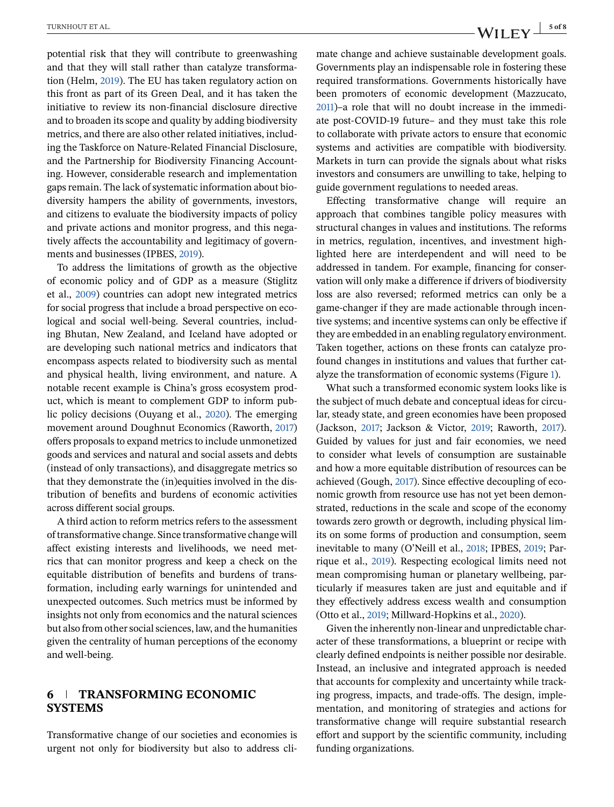potential risk that they will contribute to greenwashing and that they will stall rather than catalyze transformation (Helm, [2019\)](#page-6-0). The EU has taken regulatory action on this front as part of its Green Deal, and it has taken the initiative to review its non-financial disclosure directive and to broaden its scope and quality by adding biodiversity metrics, and there are also other related initiatives, including the Taskforce on Nature-Related Financial Disclosure, and the Partnership for Biodiversity Financing Accounting. However, considerable research and implementation gaps remain. The lack of systematic information about biodiversity hampers the ability of governments, investors, and citizens to evaluate the biodiversity impacts of policy and private actions and monitor progress, and this negatively affects the accountability and legitimacy of governments and businesses (IPBES, [2019\)](#page-6-0).

To address the limitations of growth as the objective of economic policy and of GDP as a measure (Stiglitz et al., [2009\)](#page-7-0) countries can adopt new integrated metrics for social progress that include a broad perspective on ecological and social well-being. Several countries, including Bhutan, New Zealand, and Iceland have adopted or are developing such national metrics and indicators that encompass aspects related to biodiversity such as mental and physical health, living environment, and nature. A notable recent example is China's gross ecosystem product, which is meant to complement GDP to inform public policy decisions (Ouyang et al., [2020\)](#page-7-0). The emerging movement around Doughnut Economics (Raworth, [2017\)](#page-7-0) offers proposals to expand metrics to include unmonetized goods and services and natural and social assets and debts (instead of only transactions), and disaggregate metrics so that they demonstrate the (in)equities involved in the distribution of benefits and burdens of economic activities across different social groups.

A third action to reform metrics refers to the assessment of transformative change. Since transformative change will affect existing interests and livelihoods, we need metrics that can monitor progress and keep a check on the equitable distribution of benefits and burdens of transformation, including early warnings for unintended and unexpected outcomes. Such metrics must be informed by insights not only from economics and the natural sciences but also from other social sciences, law, and the humanities given the centrality of human perceptions of the economy and well-being.

#### **6 TRANSFORMING ECONOMIC SYSTEMS**

Transformative change of our societies and economies is urgent not only for biodiversity but also to address climate change and achieve sustainable development goals. Governments play an indispensable role in fostering these required transformations. Governments historically have been promoters of economic development (Mazzucato, [2011\)](#page-6-0)–a role that will no doubt increase in the immediate post-COVID-19 future– and they must take this role to collaborate with private actors to ensure that economic systems and activities are compatible with biodiversity. Markets in turn can provide the signals about what risks investors and consumers are unwilling to take, helping to guide government regulations to needed areas.

Effecting transformative change will require an approach that combines tangible policy measures with structural changes in values and institutions. The reforms in metrics, regulation, incentives, and investment highlighted here are interdependent and will need to be addressed in tandem. For example, financing for conservation will only make a difference if drivers of biodiversity loss are also reversed; reformed metrics can only be a game-changer if they are made actionable through incentive systems; and incentive systems can only be effective if they are embedded in an enabling regulatory environment. Taken together, actions on these fronts can catalyze profound changes in institutions and values that further catalyze the transformation of economic systems (Figure [1\)](#page-5-0).

What such a transformed economic system looks like is the subject of much debate and conceptual ideas for circular, steady state, and green economies have been proposed (Jackson, [2017;](#page-6-0) Jackson & Victor, [2019;](#page-6-0) Raworth, [2017\)](#page-7-0). Guided by values for just and fair economies, we need to consider what levels of consumption are sustainable and how a more equitable distribution of resources can be achieved (Gough, [2017\)](#page-6-0). Since effective decoupling of economic growth from resource use has not yet been demonstrated, reductions in the scale and scope of the economy towards zero growth or degrowth, including physical limits on some forms of production and consumption, seem inevitable to many (O'Neill et al., [2018;](#page-7-0) IPBES, [2019;](#page-6-0) Parrique et al., [2019\)](#page-7-0). Respecting ecological limits need not mean compromising human or planetary wellbeing, particularly if measures taken are just and equitable and if they effectively address excess wealth and consumption (Otto et al., [2019;](#page-7-0) Millward-Hopkins et al., [2020\)](#page-6-0).

Given the inherently non-linear and unpredictable character of these transformations, a blueprint or recipe with clearly defined endpoints is neither possible nor desirable. Instead, an inclusive and integrated approach is needed that accounts for complexity and uncertainty while tracking progress, impacts, and trade-offs. The design, implementation, and monitoring of strategies and actions for transformative change will require substantial research effort and support by the scientific community, including funding organizations.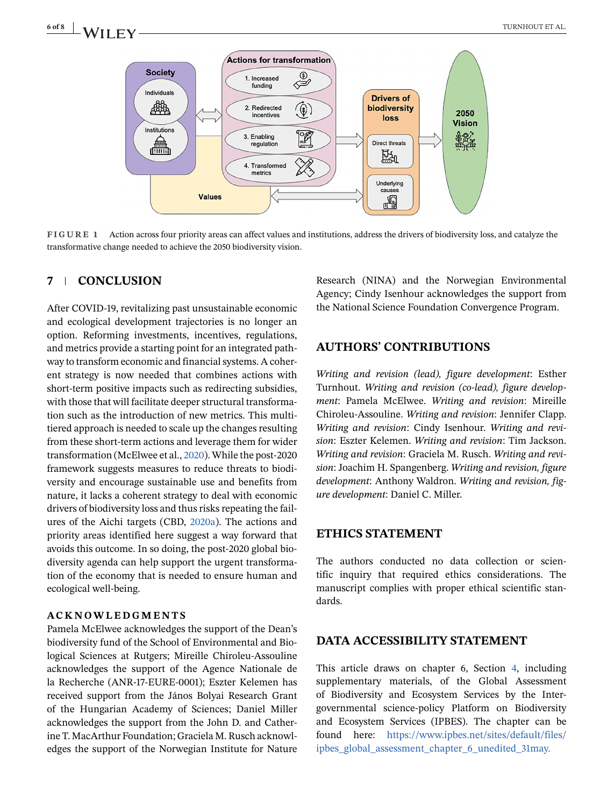<span id="page-5-0"></span>

**FIGURE 1** Action across four priority areas can affect values and institutions, address the drivers of biodiversity loss, and catalyze the transformative change needed to achieve the 2050 biodiversity vision.

#### **7 CONCLUSION**

After COVID-19, revitalizing past unsustainable economic and ecological development trajectories is no longer an option. Reforming investments, incentives, regulations, and metrics provide a starting point for an integrated pathway to transform economic and financial systems. A coherent strategy is now needed that combines actions with short-term positive impacts such as redirecting subsidies, with those that will facilitate deeper structural transformation such as the introduction of new metrics. This multitiered approach is needed to scale up the changes resulting from these short-term actions and leverage them for wider transformation (McElwee et al., [2020\)](#page-6-0). While the post-2020 framework suggests measures to reduce threats to biodiversity and encourage sustainable use and benefits from nature, it lacks a coherent strategy to deal with economic drivers of biodiversity loss and thus risks repeating the failures of the Aichi targets (CBD, [2020a\)](#page-6-0). The actions and priority areas identified here suggest a way forward that avoids this outcome. In so doing, the post-2020 global biodiversity agenda can help support the urgent transformation of the economy that is needed to ensure human and ecological well-being.

#### **ACKNOWLEDGMENTS**

Pamela McElwee acknowledges the support of the Dean's biodiversity fund of the School of Environmental and Biological Sciences at Rutgers; Mireille Chiroleu-Assouline acknowledges the support of the Agence Nationale de la Recherche (ANR-17-EURE-0001); Eszter Kelemen has received support from the János Bolyai Research Grant of the Hungarian Academy of Sciences; Daniel Miller acknowledges the support from the John D. and Catherine T. MacArthur Foundation; Graciela M. Rusch acknowledges the support of the Norwegian Institute for Nature

Research (NINA) and the Norwegian Environmental Agency; Cindy Isenhour acknowledges the support from the National Science Foundation Convergence Program.

#### **AUTHORS' CONTRIBUTIONS**

*Writing and revision (lead), figure development*: Esther Turnhout. *Writing and revision (co-lead), figure development*: Pamela McElwee. *Writing and revision*: Mireille Chiroleu-Assouline. *Writing and revision*: Jennifer Clapp. *Writing and revision*: Cindy Isenhour. *Writing and revision*: Eszter Kelemen. *Writing and revision*: Tim Jackson. *Writing and revision*: Graciela M. Rusch. *Writing and revision*: Joachim H. Spangenberg. *Writing and revision, figure development*: Anthony Waldron. *Writing and revision, figure development*: Daniel C. Miller.

#### **ETHICS STATEMENT**

The authors conducted no data collection or scientific inquiry that required ethics considerations. The manuscript complies with proper ethical scientific standards.

#### **DATA ACCESSIBILITY STATEMENT**

This article draws on chapter 6, Section [4,](#page-3-0) including supplementary materials, of the Global Assessment of Biodiversity and Ecosystem Services by the Intergovernmental science-policy Platform on Biodiversity and Ecosystem Services (IPBES). The chapter can be found here: https://www.ipbes.net/sites/default/files/ ipbes\_global\_assessment\_chapter\_6\_unedited\_31may.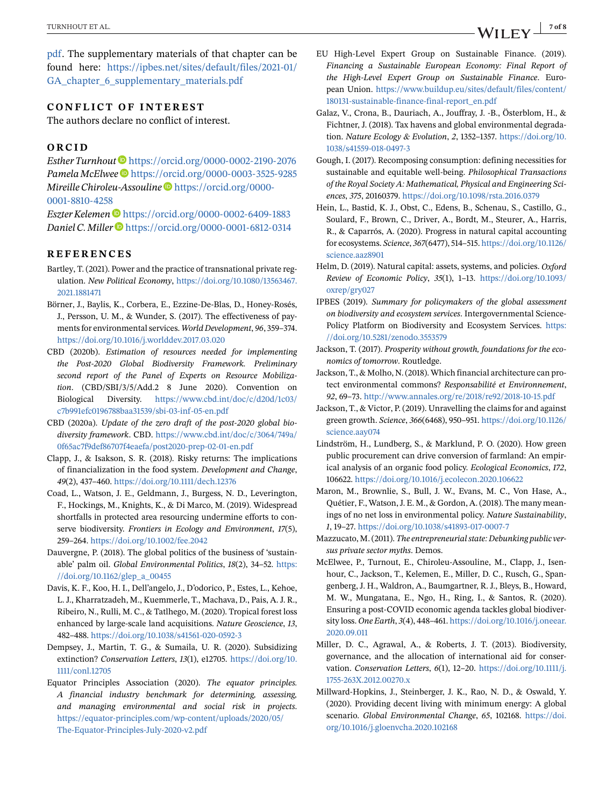<span id="page-6-0"></span>pdf[. The supplem](https://www.ipbes.net/sites/default/files/ipbes_global_assessment_chapter_6_unedited_31may.pdf)entary materials of that chapter can be found here: [https://ipbes.net/sites/default/files/2021-01/](https://ipbes.net/sites/default/files/2021-01/GA_chapter_6_supplementary_materials.pdf) GA chapter 6 supplementary materials.pdf

#### **CONFLICT OF INTEREST**

The authors declare no conflict of interest.

#### **ORCID**

*Esther Turnhout* <https://orcid.org/0000-0002-2190-2076> *Pamela McElwee* <https://orcid.org/0000-0003-3525-9285> *Mireille Chiroleu-Assouline* [https://orcid.org/0000-](https://orcid.org/0000-0001-8810-4258) [0001-8810-4258](https://orcid.org/0000-0001-8810-4258)

*Eszter Kelemen* <https://orcid.org/0000-0002-6409-1883> *Daniel C. Miller* <https://orcid.org/0000-0001-6812-0314>

#### **REFERENCES**

- Bartley, T. (2021). Power and the practice of transnational private regulation. *New Political Economy*, [https://doi.org/10.1080/13563467.](https://doi.org/10.1080/13563467.2021.1881471) [2021.1881471](https://doi.org/10.1080/13563467.2021.1881471)
- Börner, J., Baylis, K., Corbera, E., Ezzine-De-Blas, D., Honey-Rosés, J., Persson, U. M., & Wunder, S. (2017). The effectiveness of payments for environmental services. *World Development*, *96*, 359–374. <https://doi.org/10.1016/j.worlddev.2017.03.020>
- CBD (2020b). *Estimation of resources needed for implementing the Post-2020 Global Biodiversity Framework. Preliminary second report of the Panel of Experts on Resource Mobilization*. (CBD/SBI/3/5/Add.2 8 June 2020). Convention on Biological Diversity. [https://www.cbd.int/doc/c/d20d/1c03/](https://www.cbd.int/doc/c/d20d/1c03/c7b991efc0196788baa31539/sbi-03-inf-05-en.pdf) [c7b991efc0196788baa31539/sbi-03-inf-05-en.pdf](https://www.cbd.int/doc/c/d20d/1c03/c7b991efc0196788baa31539/sbi-03-inf-05-en.pdf)
- CBD (2020a). *Update of the zero draft of the post-2020 global biodiversity framework*. CBD. [https://www.cbd.int/doc/c/3064/749a/](https://www.cbd.int/doc/c/3064/749a/0f65ac7f9def86707f4eaefa/post2020-prep-02-01-en.pdf) [0f65ac7f9def86707f4eaefa/post2020-prep-02-01-en.pdf](https://www.cbd.int/doc/c/3064/749a/0f65ac7f9def86707f4eaefa/post2020-prep-02-01-en.pdf)
- Clapp, J., & Isakson, S. R. (2018). Risky returns: The implications of financialization in the food system. *Development and Change*, *49*(2), 437–460. <https://doi.org/10.1111/dech.12376>
- Coad, L., Watson, J. E., Geldmann, J., Burgess, N. D., Leverington, F., Hockings, M., Knights, K., & Di Marco, M. (2019). Widespread shortfalls in protected area resourcing undermine efforts to conserve biodiversity. *Frontiers in Ecology and Environment*, *17*(5), 259–264. <https://doi.org/10.1002/fee.2042>
- Dauvergne, P. (2018). The global politics of the business of 'sustainable' palm oil. *Global Environmental Politics*, *18*(2), 34–52. [https:](https://doi.org/10.1162/glep_a_00455) [//doi.org/10.1162/glep\\_a\\_00455](https://doi.org/10.1162/glep_a_00455)
- Davis, K. F., Koo, H. I., Dell'angelo, J., D'odorico, P., Estes, L., Kehoe, L. J., Kharratzadeh, M., Kuemmerle, T., Machava, D., Pais, A. J. R., Ribeiro, N., Rulli, M. C., & Tatlhego, M. (2020). Tropical forest loss enhanced by large-scale land acquisitions. *Nature Geoscience*, *13*, 482–488. <https://doi.org/10.1038/s41561-020-0592-3>
- Dempsey, J., Martin, T. G., & Sumaila, U. R. (2020). Subsidizing extinction? *Conservation Letters*, *13*(1), e12705. [https://doi.org/10.](https://doi.org/10.1111/conl.12705) [1111/conl.12705](https://doi.org/10.1111/conl.12705)
- Equator Principles Association (2020). *The equator principles. A financial industry benchmark for determining, assessing, and managing environmental and social risk in projects*. [https://equator-principles.com/wp-content/uploads/2020/05/](https://equator-principles.com/wp-content/uploads/2020/05/The-Equator-Principles-July-2020-v2.pdf) [The-Equator-Principles-July-2020-v2.pdf](https://equator-principles.com/wp-content/uploads/2020/05/The-Equator-Principles-July-2020-v2.pdf)
- EU High-Level Expert Group on Sustainable Finance. (2019). *Financing a Sustainable European Economy: Final Report of the High-Level Expert Group on Sustainable Finance*. European Union. [https://www.buildup.eu/sites/default/files/content/](https://www.buildup.eu/sites/default/files/content/180131-sustainable-finance-final-report_en.pdf) [180131-sustainable-finance-final-report\\_en.pdf](https://www.buildup.eu/sites/default/files/content/180131-sustainable-finance-final-report_en.pdf)
- Galaz, V., Crona, B., Dauriach, A., Jouffray, J. -B., Österblom, H., & Fichtner, J. (2018). Tax havens and global environmental degradation. *Nature Ecology & Evolution*, *2*, 1352–1357. [https://doi.org/10.](https://doi.org/10.1038/s41559-018-0497-3) [1038/s41559-018-0497-3](https://doi.org/10.1038/s41559-018-0497-3)
- Gough, I. (2017). Recomposing consumption: defining necessities for sustainable and equitable well-being. *Philosophical Transactions of the Royal Society A: Mathematical, Physical and Engineering Sciences*, *375*, 20160379. <https://doi.org/10.1098/rsta.2016.0379>
- Hein, L., Bastid, K. J., Obst, C., Edens, B., Schenau, S., Castillo, G., Soulard, F., Brown, C., Driver, A., Bordt, M., Steurer, A., Harris, R., & Caparrós, A. (2020). Progress in natural capital accounting for ecosystems. *Science*, *367*(6477), 514–515. [https://doi.org/10.1126/](https://doi.org/10.1126/science.aaz8901) [science.aaz8901](https://doi.org/10.1126/science.aaz8901)
- Helm, D. (2019). Natural capital: assets, systems, and policies. *Oxford Review of Economic Policy*, *35*(1), 1–13. [https://doi.org/10.1093/](https://doi.org/10.1093/oxrep/gry027) [oxrep/gry027](https://doi.org/10.1093/oxrep/gry027)
- IPBES (2019). *Summary for policymakers of the global assessment on biodiversity and ecosystem services*. Intergovernmental Science-Policy Platform on Biodiversity and Ecosystem Services. [https:](https://doi.org/10.5281/zenodo.3553579) [//doi.org/10.5281/zenodo.3553579](https://doi.org/10.5281/zenodo.3553579)
- Jackson, T. (2017). *Prosperity without growth, foundations for the economics of tomorrow*. Routledge.
- Jackson, T., & Molho, N. (2018). Which financial architecture can protect environmental commons? *Responsabilité et Environnement*, *92*, 69–73. <http://www.annales.org/re/2018/re92/2018-10-15.pdf>
- Jackson, T., & Victor, P. (2019). Unravelling the claims for and against green growth. *Science*, *366*(6468), 950–951. [https://doi.org/10.1126/](https://doi.org/10.1126/science.aay074) [science.aay074](https://doi.org/10.1126/science.aay074)
- Lindström, H., Lundberg, S., & Marklund, P. O. (2020). How green public procurement can drive conversion of farmland: An empirical analysis of an organic food policy. *Ecological Economics*, *172*, 106622. <https://doi.org/10.1016/j.ecolecon.2020.106622>
- Maron, M., Brownlie, S., Bull, J. W., Evans, M. C., Von Hase, A., Quétier, F., Watson, J. E. M., & Gordon, A. (2018). The many meanings of no net loss in environmental policy. *Nature Sustainability*, *1*, 19–27. <https://doi.org/10.1038/s41893-017-0007-7>
- Mazzucato, M. (2011). *The entrepreneurial state: Debunking public versus private sector myths*. Demos.
- McElwee, P., Turnout, E., Chiroleu-Assouline, M., Clapp, J., Isenhour, C., Jackson, T., Kelemen, E., Miller, D. C., Rusch, G., Spangenberg, J. H., Waldron, A., Baumgartner, R. J., Bleys, B., Howard, M. W., Mungatana, E., Ngo, H., Ring, I., & Santos, R. (2020). Ensuring a post-COVID economic agenda tackles global biodiversity loss. *One Earth*, *3*(4), 448–461. [https://doi.org/10.1016/j.oneear.](https://doi.org/10.1016/j.oneear.2020.09.011) [2020.09.011](https://doi.org/10.1016/j.oneear.2020.09.011)
- Miller, D. C., Agrawal, A., & Roberts, J. T. (2013). Biodiversity, governance, and the allocation of international aid for conservation. *Conservation Letters*, *6*(1), 12–20. [https://doi.org/10.1111/j.](https://doi.org/10.1111/j.1755-263X.2012.00270.x) [1755-263X.2012.00270.x](https://doi.org/10.1111/j.1755-263X.2012.00270.x)
- Millward-Hopkins, J., Steinberger, J. K., Rao, N. D., & Oswald, Y. (2020). Providing decent living with minimum energy: A global scenario. *Global Environmental Change*, *65*, 102168. [https://doi.](https://doi.org/10.1016/j.gloenvcha.2020.102168) [org/10.1016/j.gloenvcha.2020.102168](https://doi.org/10.1016/j.gloenvcha.2020.102168)